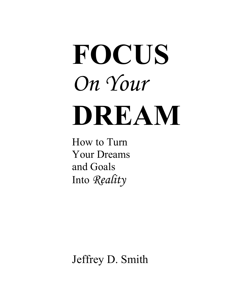# **FOCUS**  *On Your*  **DREAM**

How to Turn Your Dreams and Goals Into *Reality*

Jeffrey D. Smith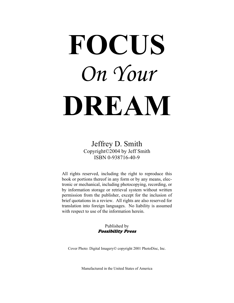# **FOCUS**  *On Your*  **DREAM**

Jeffrey D. Smith Copyright©2004 by Jeff Smith ISBN 0-938716-40-9

All rights reserved, including the right to reproduce this book or portions thereof in any form or by any means, electronic or mechanical, including photocopying, recording, or by information storage or retrieval system without written permission from the publisher, except for the inclusion of brief quotations in a review. All rights are also reserved for translation into foreign languages. No liability is assumed with respect to use of the information herein.

> Published by Possibility Press

Cover Photo: Digital Imagery© copyright 2001 PhotoDisc, Inc.

Manufactured in the United States of America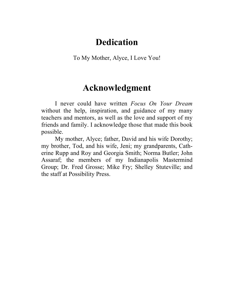## **Dedication**

To My Mother, Alyce, I Love You!

## **Acknowledgment**

I never could have written *Focus On Your Dream* without the help, inspiration, and guidance of my many teachers and mentors, as well as the love and support of my friends and family. I acknowledge those that made this book possible.

My mother, Alyce; father, David and his wife Dorothy; my brother, Tod, and his wife, Jeni; my grandparents, Catherine Rupp and Roy and Georgia Smith; Norma Butler; John Assaraf; the members of my Indianapolis Mastermind Group; Dr. Fred Grosse; Mike Fry; Shelley Stuteville; and the staff at Possibility Press.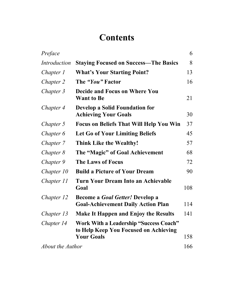## **Contents**

| Preface                        |                                                                                        | 6          |
|--------------------------------|----------------------------------------------------------------------------------------|------------|
| <b>Introduction</b>            | <b>Staying Focused on Success—The Basics</b>                                           | 8          |
| Chapter 1                      | <b>What's Your Starting Point?</b>                                                     | 13         |
| Chapter 2                      | The "You" Factor                                                                       | 16         |
| Chapter 3                      | <b>Decide and Focus on Where You</b><br><b>Want to Be</b>                              | 21         |
| Chapter 4                      | <b>Develop a Solid Foundation for</b><br><b>Achieving Your Goals</b>                   | 30         |
| Chapter 5                      | <b>Focus on Beliefs That Will Help You Win</b>                                         | 37         |
| Chapter 6                      | <b>Let Go of Your Limiting Beliefs</b>                                                 | 45         |
| Chapter 7                      | <b>Think Like the Wealthy!</b>                                                         | 57         |
| Chapter 8                      | The "Magic" of Goal Achievement                                                        | 68         |
| Chapter 9                      | <b>The Laws of Focus</b>                                                               | 72         |
| Chapter 10                     | <b>Build a Picture of Your Dream</b>                                                   | 90         |
| Chapter 11                     | <b>Turn Your Dream Into an Achievable</b><br>Goal                                      | 108        |
| Chapter 12                     | <b>Become a Goal Getter! Develop a</b><br><b>Goal-Achievement Daily Action Plan</b>    | 114        |
| Chapter 13                     | <b>Make It Happen and Enjoy the Results</b>                                            | 141        |
| Chapter 14                     | <b>Work With a Leadership "Success Coach"</b><br>to Help Keep You Focused on Achieving |            |
|                                | <b>Your Goals</b>                                                                      | 158<br>166 |
| <i><b>About the Author</b></i> |                                                                                        |            |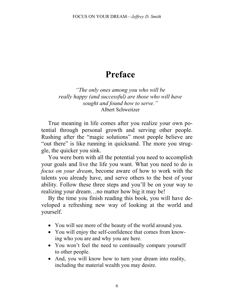## **Preface**

*"The only ones among you who will be really happy (and successful) are those who will have sought and found how to serve."*  Albert Schweitzer

True meaning in life comes after you realize your own potential through personal growth and serving other people. Rushing after the "magic solutions" most people believe are "out there" is like running in quicksand. The more you struggle, the quicker you sink.

You were born with all the potential you need to accomplish your goals and live the life you want. What you need to do is *focus on your dream*, become aware of how to work with the talents you already have, and serve others to the best of your ability. Follow these three steps and you'll be on your way to realizing your dream…no matter how big it may be!

By the time you finish reading this book, you will have developed a refreshing new way of looking at the world and yourself.

- You will see more of the beauty of the world around you.
- You will enjoy the self-confidence that comes from knowing who you are and why you are here.
- You won't feel the need to continually compare yourself to other people.
- And, you will know how to turn your dream into reality, including the material wealth you may desire.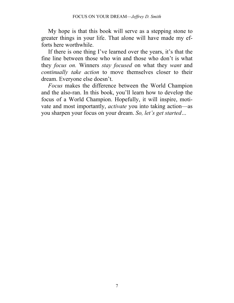My hope is that this book will serve as a stepping stone to greater things in your life. That alone will have made my efforts here worthwhile.

If there is one thing I've learned over the years, it's that the fine line between those who win and those who don't is what they *focus on.* Winners *stay focused* on what they *want* and *continually take action* to move themselves closer to their dream. Everyone else doesn't.

*Focus* makes the difference between the World Champion and the also-ran. In this book, you'll learn how to develop the focus of a World Champion. Hopefully, it will inspire, motivate and most importantly, *activate* you into taking action—as you sharpen your focus on your dream. *So, let's get started…*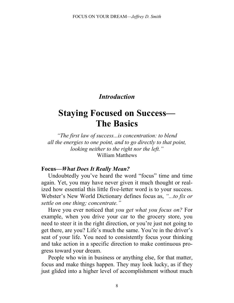### *Introduction*

## **Staying Focused on Success— The Basics**

*"The first law of success...is concentration: to blend all the energies to one point, and to go directly to that point, looking neither to the right nor the left."*  William Matthews

#### **Focus—***What Does It Really Mean?*

Undoubtedly you've heard the word "focus" time and time again. Yet, you may have never given it much thought or realized how essential this little five-letter word is to your success. Webster's New World Dictionary defines focus as, *"...to fix or settle on one thing; concentrate."* 

Have you ever noticed that *you get what you focus on?* For example, when you drive your car to the grocery store, you need to steer it in the right direction, or you're just not going to get there, are you? Life's much the same. You're in the driver's seat of your life. You need to consistently focus your thinking and take action in a specific direction to make continuous progress toward your dream.

People who win in business or anything else, for that matter, focus and make things happen. They may look lucky, as if they just glided into a higher level of accomplishment without much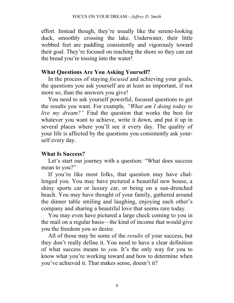effort. Instead though, they're usually like the serene-looking duck, smoothly crossing the lake. Underwater, their little webbed feet are paddling consistently and vigorously toward their goal. They're focused on reaching the shore so they can eat the bread you're tossing into the water!

#### **What Questions Are You Asking Yourself?**

In the process of staying *focused* and achieving your goals, the questions you ask yourself are at least as important, if not more so, than the answers you give!

You need to ask yourself powerful, focused questions to get the results you want. For example*, "What am I doing today to live my dream?"* Find the question that works the best for whatever you want to achieve, write it down, and put it up in several places where you'll see it every day. The quality of your life is affected by the questions you consistently ask yourself every day.

#### **What Is Success?**

Let's start our journey with a question: "What does success mean to you?"

If you're like most folks, that question may have challenged you. You may have pictured a beautiful new house, a shiny sports car or luxury car, or being on a sun-drenched beach. You may have thought of your family, gathered around the dinner table smiling and laughing, enjoying each other's company and sharing a beautiful love that seems rare today.

You may even have pictured a large check coming to you in the mail on a regular basis—the kind of income that would give you the freedom you so desire.

All of those may be some of the *results* of your success, but they don't really define it. You need to have a clear definition of what success means to *you*. It's the only way for you to know what you're working toward and how to determine when you've achieved it. That makes sense, doesn't it?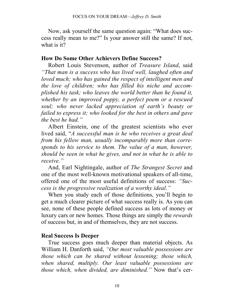Now, ask yourself the same question again: "What does success really mean to me?" Is your answer still the same? If not, what is it?

#### **How Do Some Other Achievers Define Success?**

Robert Louis Stevenson, author of *Treasure Island*, said *"That man is a success who has lived well, laughed often and loved much; who has gained the respect of intelligent men and the love of children; who has filled his niche and accomplished his task; who leaves the world better than he found it, whether by an improved poppy, a perfect poem or a rescued soul; who never lacked appreciation of earth's beauty or failed to express it; who looked for the best in others and gave the best he had."* 

Albert Einstein, one of the greatest scientists who ever lived said, "*A successful man is he who receives a great deal from his fellow man, usually incomparably more than corresponds to his service to them. The value of a man, however, should be seen in what he gives, and not in what he is able to receive."* 

And, Earl Nightingale, author of *The Strangest Secret* and one of the most well-known motivational speakers of all-time, offered one of the most useful definitions of success: *"Success is the progressive realization of a worthy ideal."* 

When you study each of those definitions, you'll begin to get a much clearer picture of what success really is. As you can see, none of these people defined success as lots of money or luxury cars or new homes. Those things are simply the *rewards* of success but, in and of themselves, they are not success.

#### **Real Success Is Deeper**

True success goes much deeper than material objects. As William H. Danforth said, *"Our most valuable possessions are those which can be shared without lessening; those which, when shared, multiply. Our least valuable possessions are those which, when divided, are diminished."* Now that's cer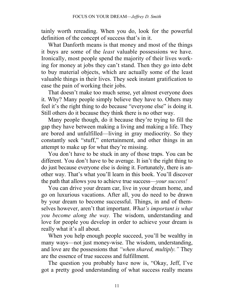tainly worth rereading. When you do, look for the powerful definition of the concept of success that's in it.

What Danforth means is that money and most of the things it buys are some of the *least* valuable possessions we have. Ironically, most people spend the majority of their lives working for money at jobs they can't stand. Then they go into debt to buy material objects, which are actually some of the least valuable things in their lives. They seek instant gratification to ease the pain of working their jobs.

That doesn't make too much sense, yet almost everyone does it. Why? Many people simply believe they have to. Others may feel it's the right thing to do because "everyone else" is doing it. Still others do it because they think there is no other way.

Many people though, do it because they're trying to fill the gap they have between making a living and making a life. They are bored and unfulfilled—living in gray mediocrity. So they constantly seek "stuff," entertainment, and other things in an attempt to make up for what they're missing.

You don't have to be stuck in any of those traps. You can be different. You don't have to be average. It isn't the right thing to do just because everyone else is doing it. Fortunately, there is another way. That's what you'll learn in this book. You'll discover the path that allows you to achieve true success—*your success!*

You can drive your dream car, live in your dream home, and go on luxurious vacations. After all, you do need to be drawn by your dream to become successful. Things, in and of themselves however, aren't that important. *What's important is what you become along the way.* The wisdom, understanding and love for people you develop in order to achieve your dream is really what it's all about.

When you help enough people succeed, you'll be wealthy in many ways—not just money-wise. The wisdom, understanding, and love are the possessions that *"when shared, multiply."* They are the essence of true success and fulfillment.

The question you probably have now is, "Okay, Jeff, I've got a pretty good understanding of what success really means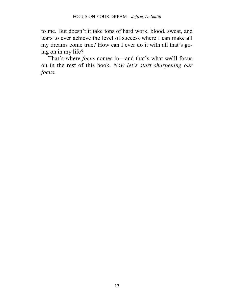to me. But doesn't it take tons of hard work, blood, sweat, and tears to ever achieve the level of success where I can make all my dreams come true? How can I ever do it with all that's going on in my life?

That's where *focus* comes in—and that's what we'll focus on in the rest of this book. *Now let's start sharpening our focus.*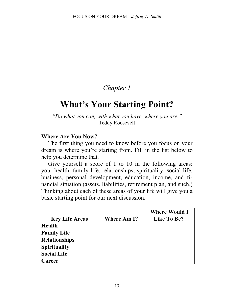### *Chapter 1*

## **What's Your Starting Point?**

*"Do what you can, with what you have, where you are."*  Teddy Roosevelt

#### **Where Are You Now?**

The first thing you need to know before you focus on your dream is where you're starting from. Fill in the list below to help you determine that.

Give yourself a score of 1 to 10 in the following areas: your health, family life, relationships, spirituality, social life, business, personal development, education, income, and financial situation (assets, liabilities, retirement plan, and such.) Thinking about each of these areas of your life will give you a basic starting point for our next discussion.

| <b>Key Life Areas</b> | <b>Where Am I?</b> | <b>Where Would I</b><br>Like To Be? |
|-----------------------|--------------------|-------------------------------------|
| <b>Health</b>         |                    |                                     |
| <b>Family Life</b>    |                    |                                     |
| <b>Relationships</b>  |                    |                                     |
| <b>Spirituality</b>   |                    |                                     |
| <b>Social Life</b>    |                    |                                     |
| $\complement$ areer   |                    |                                     |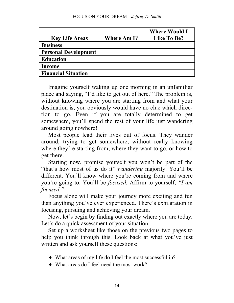|                             |                    | <b>Where Would I</b> |
|-----------------------------|--------------------|----------------------|
| <b>Key Life Areas</b>       | <b>Where Am I?</b> | Like To Be?          |
| <b>Business</b>             |                    |                      |
| <b>Personal Development</b> |                    |                      |
| <b>Education</b>            |                    |                      |
| <b>Income</b>               |                    |                      |
| <b>Financial Situation</b>  |                    |                      |

Imagine yourself waking up one morning in an unfamiliar place and saying, "I'd like to get out of here." The problem is, without knowing where you are starting from and what your destination is, you obviously would have no clue which direction to go. Even if you are totally determined to get somewhere, you'll spend the rest of your life just wandering around going nowhere!

Most people lead their lives out of focus. They wander around, trying to get somewhere, without really knowing where they're starting from, where they want to go, or how to get there.

Starting now, promise yourself you won't be part of the "that's how most of us do it" *wandering* majority. You'll be different. You'll know where you're coming from and where you're going to. You'll be *focused.* Affirm to yourself, *"I am focused."* 

Focus alone will make your journey more exciting and fun than anything you've ever experienced. There's exhilaration in focusing, pursuing and achieving your dream.

Now, let's begin by finding out exactly where you are today. Let's do a quick assessment of your situation.

Set up a worksheet like those on the previous two pages to help you think through this. Look back at what you've just written and ask yourself these questions:

- ♦ What areas of my life do I feel the most successful in?
- ♦ What areas do I feel need the most work?